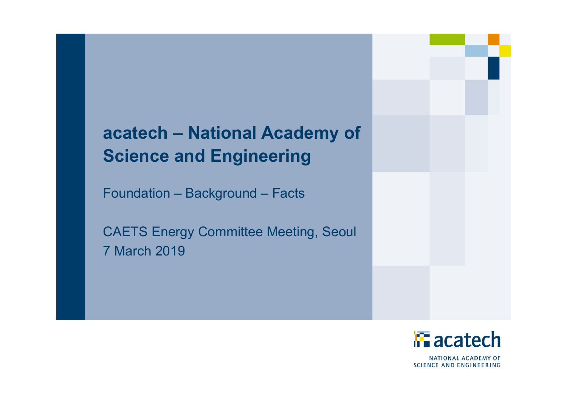# **acatech – National Academy of Science and Engineering**

Foundation – Background – Facts

CAETS Energy Committee Meeting, Seoul 7 March 2019



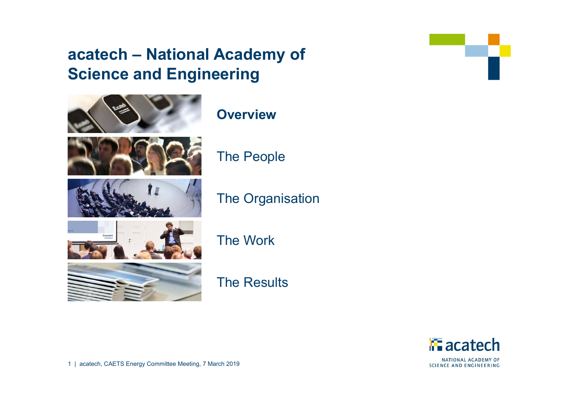### **acatech – National Academy of Science and Engineering**



The Work

**Overview**

The People

The Organisation



The Results



NATIONAL ACADEMY OF **SCIENCE AND ENGINEERING** 



1 | acatech, CAETS Energy Committee Meeting, 7 March 2019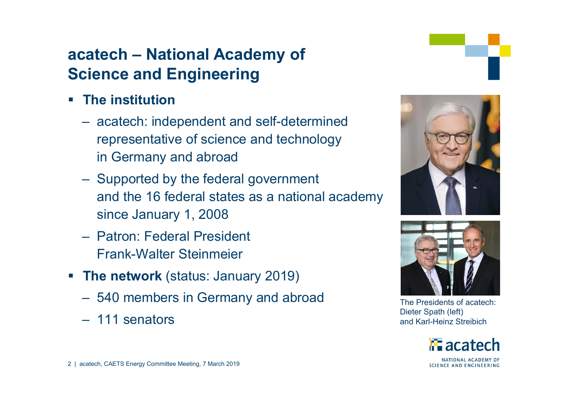## **acatech – National Academy of Science and Engineering**

- $\mathcal{L}_{\mathcal{A}}$  **The institution**
	- acatech: independent and self-determined representative of science and technology in Germany and abroad
	- Supported by the federal government and the 16 federal states as a national academy since January 1, 2008
	- Patron: Federal President Frank-Walter Steinmeier
- **The network** (status: January 2019)
	- 540 members in Germany and abroad
	- 111 senators





The Presidents of acatech: Dieter Spath (left) and Karl-Heinz Streibich

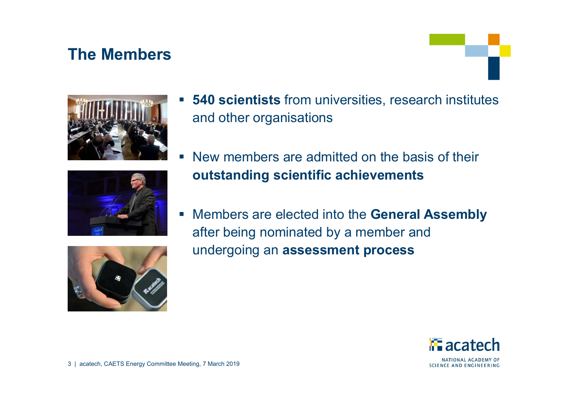### **The Members**









- a<br>M New members are admitted on the basis of their **outstanding scientific achievements**
- Members are elected into the **General Assembly**  after being nominated by a member and undergoing an **assessment process**



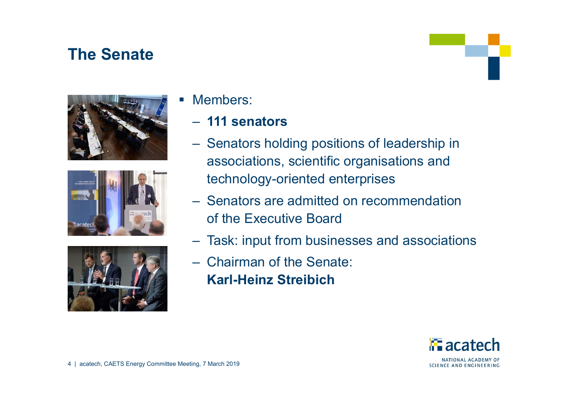### **The Senate**







#### Members:

### – **111 senators**

- Senators holding positions of leadership in associations, scientific organisations and technology-oriented enterprises
- Senators are admitted on recommendation of the Executive Board
- –Task: input from businesses and associations
- Chairman of the Senate: **Karl-Heinz Streibich**

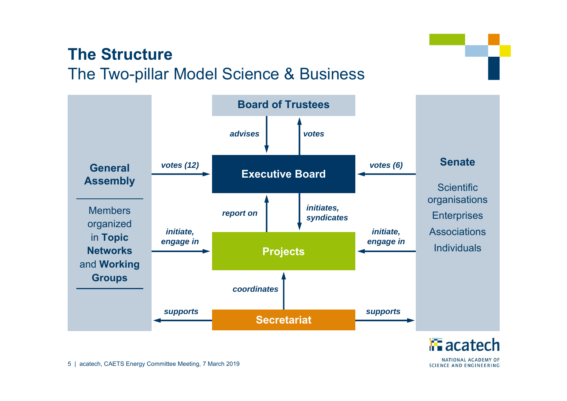### **The Structure**The Two-pillar Model Science & Business

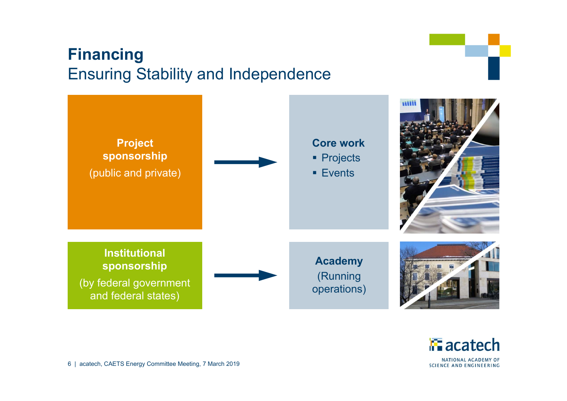## **Financing** Ensuring Stability and Independence





6 | acatech, CAETS Energy Committee Meeting, 7 March 2019

**SCIENCE AND ENGINEERING**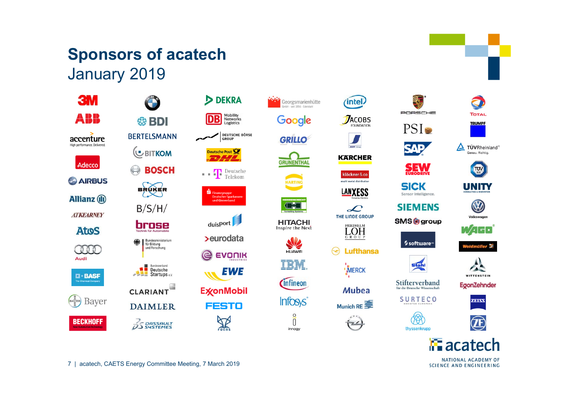### **Sponsors of acatech** January 2019















**TOTAL** 









74 - 1

iller <del>X</del>

**SMS** group



QAD

**SEW** 

Sensor Intelligence.

**SIEMENS** 

**Stahl** 

Stifterverband

für die Deutsche Wissenschaf

**SURTECO** 

R

thyssenkrupp

**SICK** 













EgonZehnder







NATIONAL ACADEMY OF **SCIENCE AND ENGINEERING** 

7 | acatech, CAETS Energy Committee Meeting, 7 March 2019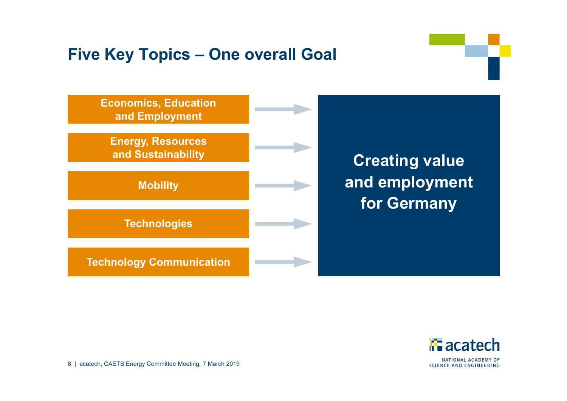### **Five Key Topics – One overall Goal**





8 | acatech, CAETS Energy Committee Meeting, 7 March 2019